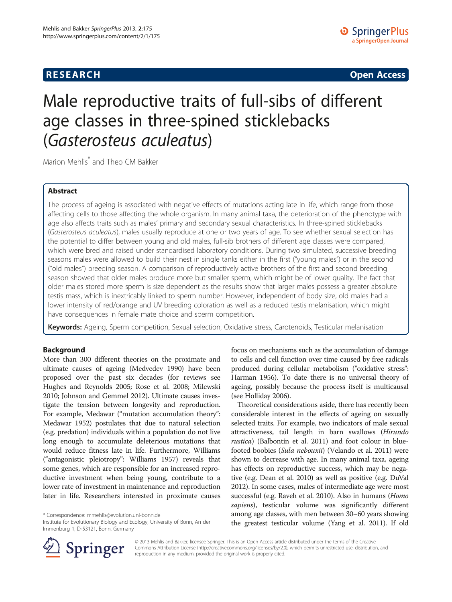**RESEARCH CHINESE ARCH CHINESE ARCH CHINESE ARCH <b>CHINESE ARCH** 

# Male reproductive traits of full-sibs of different age classes in three-spined sticklebacks (Gasterosteus aculeatus)

Marion Mehlis\* and Theo CM Bakker

# Abstract

The process of ageing is associated with negative effects of mutations acting late in life, which range from those affecting cells to those affecting the whole organism. In many animal taxa, the deterioration of the phenotype with age also affects traits such as males' primary and secondary sexual characteristics. In three-spined sticklebacks (Gasterosteus aculeatus), males usually reproduce at one or two years of age. To see whether sexual selection has the potential to differ between young and old males, full-sib brothers of different age classes were compared, which were bred and raised under standardised laboratory conditions. During two simulated, successive breeding seasons males were allowed to build their nest in single tanks either in the first ("young males") or in the second ("old males") breeding season. A comparison of reproductively active brothers of the first and second breeding season showed that older males produce more but smaller sperm, which might be of lower quality. The fact that older males stored more sperm is size dependent as the results show that larger males possess a greater absolute testis mass, which is inextricably linked to sperm number. However, independent of body size, old males had a lower intensity of red/orange and UV breeding coloration as well as a reduced testis melanisation, which might have consequences in female mate choice and sperm competition.

Keywords: Ageing, Sperm competition, Sexual selection, Oxidative stress, Carotenoids, Testicular melanisation

# Background

More than 300 different theories on the proximate and ultimate causes of ageing (Medvedev [1990](#page-9-0)) have been proposed over the past six decades (for reviews see Hughes and Reynolds [2005;](#page-9-0) Rose et al. [2008;](#page-9-0) Milewski [2010;](#page-9-0) Johnson and Gemmel [2012\)](#page-9-0). Ultimate causes investigate the tension between longevity and reproduction. For example, Medawar ("mutation accumulation theory": Medawar [1952\)](#page-9-0) postulates that due to natural selection (e.g. predation) individuals within a population do not live long enough to accumulate deleterious mutations that would reduce fitness late in life. Furthermore, Williams ("antagonistic pleiotropy": Williams [1957\)](#page-10-0) reveals that some genes, which are responsible for an increased reproductive investment when being young, contribute to a lower rate of investment in maintenance and reproduction later in life. Researchers interested in proximate causes

\* Correspondence: [mmehlis@evolution.uni-bonn.de](mailto:mmehlis@evolution.uni-bonn.de)

Institute for Evolutionary Biology and Ecology, University of Bonn, An der Immenburg 1, D-53121, Bonn, Germany



Theoretical considerations aside, there has recently been considerable interest in the effects of ageing on sexually selected traits. For example, two indicators of male sexual attractiveness, tail length in barn swallows (Hirundo rustica) (Balbontín et al. [2011](#page-8-0)) and foot colour in bluefooted boobies (Sula nebouxii) (Velando et al. [2011](#page-10-0)) were shown to decrease with age. In many animal taxa, ageing has effects on reproductive success, which may be negative (e.g. Dean et al. [2010](#page-8-0)) as well as positive (e.g. DuVal [2012](#page-8-0)). In some cases, males of intermediate age were most successful (e.g. Raveh et al. [2010\)](#page-9-0). Also in humans (Homo sapiens), testicular volume was significantly different among age classes, with men between 30–60 years showing the greatest testicular volume (Yang et al. [2011](#page-10-0)). If old



© 2013 Mehlis and Bakker; licensee Springer. This is an Open Access article distributed under the terms of the Creative Commons Attribution License (<http://creativecommons.org/licenses/by/2.0>), which permits unrestricted use, distribution, and reproduction in any medium, provided the original work is properly cited.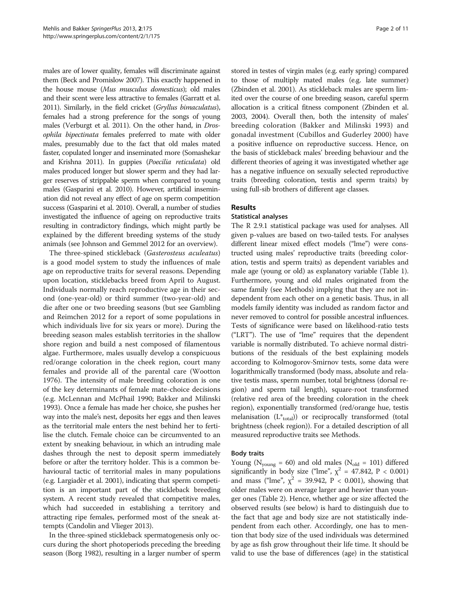males are of lower quality, females will discriminate against them (Beck and Promislow [2007\)](#page-8-0). This exactly happened in the house mouse (Mus musculus domesticus); old males and their scent were less attractive to females (Garratt et al. [2011\)](#page-9-0). Similarly, in the field cricket (Gryllus bimaculatus), females had a strong preference for the songs of young males (Verburgt et al. [2011\)](#page-10-0). On the other hand, in Drosophila bipectinata females preferred to mate with older males, presumably due to the fact that old males mated faster, copulated longer and inseminated more (Somashekar and Krishna [2011](#page-9-0)). In guppies (Poecilia reticulata) old males produced longer but slower sperm and they had larger reserves of strippable sperm when compared to young males (Gasparini et al. [2010\)](#page-9-0). However, artificial insemination did not reveal any effect of age on sperm competition success (Gasparini et al. [2010](#page-9-0)). Overall, a number of studies investigated the influence of ageing on reproductive traits resulting in contradictory findings, which might partly be explained by the different breeding systems of the study animals (see Johnson and Gemmel [2012](#page-9-0) for an overview).

The three-spined stickleback (Gasterosteus aculeatus) is a good model system to study the influences of male age on reproductive traits for several reasons. Depending upon location, sticklebacks breed from April to August. Individuals normally reach reproductive age in their second (one-year-old) or third summer (two-year-old) and die after one or two breeding seasons (but see Gambling and Reimchen [2012](#page-9-0) for a report of some populations in which individuals live for six years or more). During the breeding season males establish territories in the shallow shore region and build a nest composed of filamentous algae. Furthermore, males usually develop a conspicuous red/orange coloration in the cheek region, court many females and provide all of the parental care (Wootton [1976](#page-10-0)). The intensity of male breeding coloration is one of the key determinants of female mate-choice decisions (e.g. McLennan and McPhail [1990;](#page-9-0) Bakker and Milinski [1993](#page-8-0)). Once a female has made her choice, she pushes her way into the male's nest, deposits her eggs and then leaves as the territorial male enters the nest behind her to fertilise the clutch. Female choice can be circumvented to an extent by sneaking behaviour, in which an intruding male dashes through the nest to deposit sperm immediately before or after the territory holder. This is a common behavioural tactic of territorial males in many populations (e.g. Largiadèr et al. [2001\)](#page-9-0), indicating that sperm competition is an important part of the stickleback breeding system. A recent study revealed that competitive males, which had succeeded in establishing a territory and attracting ripe females, performed most of the sneak attempts (Candolin and Vlieger [2013\)](#page-8-0).

In the three-spined stickleback spermatogenesis only occurs during the short photoperiods preceding the breeding season (Borg [1982](#page-8-0)), resulting in a larger number of sperm

stored in testes of virgin males (e.g. early spring) compared to those of multiply mated males (e.g. late summer) (Zbinden et al. [2001\)](#page-10-0). As stickleback males are sperm limited over the course of one breeding season, careful sperm allocation is a critical fitness component (Zbinden et al. [2003, 2004](#page-10-0)). Overall then, both the intensity of males' breeding coloration (Bakker and Milinski [1993\)](#page-8-0) and gonadal investment (Cubillos and Guderley [2000](#page-8-0)) have a positive influence on reproductive success. Hence, on the basis of stickleback males' breeding behaviour and the different theories of ageing it was investigated whether age has a negative influence on sexually selected reproductive traits (breeding coloration, testis and sperm traits) by using full-sib brothers of different age classes.

# Results

# Statistical analyses

The R 2.9.1 statistical package was used for analyses. All given p-values are based on two-tailed tests. For analyses different linear mixed effect models ("lme") were constructed using males' reproductive traits (breeding coloration, testis and sperm traits) as dependent variables and male age (young or old) as explanatory variable (Table [1](#page-2-0)). Furthermore, young and old males originated from the same family (see [Methods\)](#page-7-0) implying that they are not independent from each other on a genetic basis. Thus, in all models family identity was included as random factor and never removed to control for possible ancestral influences. Tests of significance were based on likelihood-ratio tests ("LRT"). The use of "lme" requires that the dependent variable is normally distributed. To achieve normal distributions of the residuals of the best explaining models according to Kolmogorov-Smirnov tests, some data were logarithmically transformed (body mass, absolute and relative testis mass, sperm number, total brightness (dorsal region) and sperm tail length), square-root transformed (relative red area of the breeding coloration in the cheek region), exponentially transformed (red/orange hue, testis melanisation  $(L^*_{total})$ ) or reciprocally transformed (total brightness (cheek region)). For a detailed description of all measured reproductive traits see [Methods](#page-7-0).

# Body traits

Young ( $N_{\text{young}} = 60$ ) and old males ( $N_{\text{old}} = 101$ ) differed significantly in body size ("lme",  $\chi^2$  = 47.842, P < 0.001) and mass ("lme",  $\chi^2$  = 39.942, P < 0.001), showing that older males were on average larger and heavier than younger ones (Table [2](#page-3-0)). Hence, whether age or size affected the observed results (see below) is hard to distinguish due to the fact that age and body size are not statistically independent from each other. Accordingly, one has to mention that body size of the used individuals was determined by age as fish grow throughout their life time. It should be valid to use the base of differences (age) in the statistical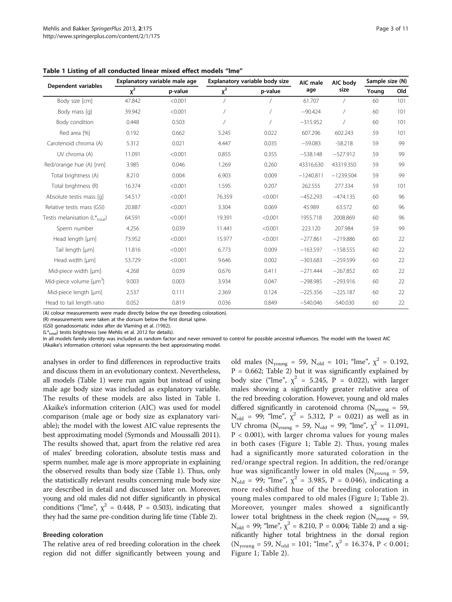| Dependent variables           | Explanatory variable male age |         | Explanatory variable body size |         | AIC male    | AIC body    | Sample size (N) |     |
|-------------------------------|-------------------------------|---------|--------------------------------|---------|-------------|-------------|-----------------|-----|
|                               | $x^2$                         | p-value | $x^2$                          | p-value | age         | size        | Young           | Old |
| Body size [cm]                | 47.842                        | < 0.001 |                                |         | 61.707      |             | 60              | 101 |
| Body mass [q]                 | 39.942                        | < 0.001 |                                |         | $-90.424$   |             | 60              | 101 |
| Body condition                | 0.448                         | 0.503   |                                |         | $-315.952$  |             | 60              | 101 |
| Red area [%]                  | 0.192                         | 0.662   | 5.245                          | 0.022   | 607.296     | 602.243     | 59              | 101 |
| Carotenoid chroma (A)         | 5.312                         | 0.021   | 4.447                          | 0.035   | $-59.083$   | $-58.218$   | 59              | 99  |
| UV chroma (A)                 | 11.091                        | < 0.001 | 0.855                          | 0.355   | $-538.148$  | $-527.912$  | 59              | 99  |
| Red/orange hue (A) [nm]       | 3.985                         | 0.046   | 1.269                          | 0.260   | 43316.630   | 43319.350   | 59              | 99  |
| Total brightness (A)          | 8.210                         | 0.004   | 6.903                          | 0.009   | $-1240.811$ | $-1239.504$ | 59              | 99  |
| Total brightness (R)          | 16.374                        | < 0.001 | 1.595                          | 0.207   | 262.555     | 277.334     | 59              | 101 |
| Absolute testis mass [q]      | 54.517                        | < 0.001 | 76.359                         | < 0.001 | $-452.293$  | $-474.135$  | 60              | 96  |
| Relative testis mass (GSI)    | 20.887                        | < 0.001 | 3.304                          | 0.069   | 45.989      | 63.572      | 60              | 96  |
| Testis melanisation (L*total) | 64.591                        | < 0.001 | 19.391                         | < 0.001 | 1955.718    | 2008.869    | 60              | 96  |
| Sperm number                  | 4.256                         | 0.039   | 11.441                         | < 0.001 | 223.120     | 207.984     | 59              | 99  |
| Head length [µm]              | 73.952                        | < 0.001 | 15.977                         | < 0.001 | $-277.861$  | $-219.886$  | 60              | 22  |
| Tail length [µm]              | 11.816                        | < 0.001 | 6.773                          | 0.009   | $-163.597$  | $-158.555$  | 60              | 22  |
| Head width [µm]               | 53.729                        | < 0.001 | 9.646                          | 0.002   | $-303.683$  | $-259.599$  | 60              | 22  |
| Mid-piece width [µm]          | 4.268                         | 0.039   | 0.676                          | 0.411   | $-271.444$  | $-267.852$  | 60              | 22  |
| Mid-piece volume $[µm3]$      | 9.003                         | 0.003   | 3.934                          | 0.047   | $-298.985$  | $-293.916$  | 60              | 22  |
| Mid-piece length [µm]         | 2.537                         | 0.111   | 2.369                          | 0.124   | $-225.356$  | $-225.187$  | 60              | 22  |
| Head to tail length ratio     | 0.052                         | 0.819   | 0.036                          | 0.849   | $-540.046$  | $-540.030$  | 60              | 22  |

<span id="page-2-0"></span>Table 1 Listing of all conducted linear mixed effect models "lme"

(A) colour measurements were made directly below the eye (breeding coloration).

(R) measurements were taken at the dorsum below the first dorsal spine.

(GSI) gonadosomatic index after de Vlaming et al. ([1982\)](#page-8-0).

 $(L^*_{total})$  testis brightness (see Mehlis et al. [2012](#page-9-0) for details).

In all models family identity was included as random factor and never removed to control for possible ancestral influences. The model with the lowest AIC (Akaike's information criterion) value represents the best approximating model.

analyses in order to find differences in reproductive traits and discuss them in an evolutionary context. Nevertheless, all models (Table 1) were run again but instead of using male age body size was included as explanatory variable. The results of these models are also listed in Table 1. Akaike's information criterion (AIC) was used for model comparison (male age or body size as explanatory variable); the model with the lowest AIC value represents the best approximating model (Symonds and Moussalli [2011](#page-10-0)). The results showed that, apart from the relative red area of males' breeding coloration, absolute testis mass and sperm number, male age is more appropriate in explaining the observed results than body size (Table 1). Thus, only the statistically relevant results concerning male body size are described in detail and discussed later on. Moreover, young and old males did not differ significantly in physical conditions ("lme",  $\chi^2$  = 0.448, P = 0.503), indicating that they had the same pre-condition during life time (Table [2\)](#page-3-0).

#### Breeding coloration

The relative area of red breeding coloration in the cheek region did not differ significantly between young and

old males ( $N_{\text{young}} = 59$ ,  $N_{\text{old}} = 101$ ; "lme",  $\chi^2 = 0.192$ ,  $P = 0.662$ ; Table [2\)](#page-3-0) but it was significantly explained by body size ("lme",  $\chi^2 = 5.245$ ,  $P = 0.022$ ), with larger males showing a significantly greater relative area of the red breeding coloration. However, young and old males differed significantly in carotenoid chroma ( $N_{\text{young}} = 59$ ,  $N_{old}$  = 99; "lme",  $\chi^2$  = 5.312, P = 0.021) as well as in UV chroma ( $N_{\text{young}} = 59$ ,  $N_{\text{old}} = 99$ ; "lme",  $\chi^2 = 11.091$ ,  $P < 0.001$ ), with larger chroma values for young males in both cases (Figure [1;](#page-4-0) Table [2\)](#page-3-0). Thus, young males had a significantly more saturated coloration in the red/orange spectral region. In addition, the red/orange hue was significantly lower in old males ( $N_{\text{young}} = 59$ , N<sub>old</sub> = 99; "lme",  $\chi^2$  = 3.985, P = 0.046), indicating a more red-shifted hue of the breeding coloration in young males compared to old males (Figure [1](#page-4-0); Table [2](#page-3-0)). Moreover, younger males showed a significantly lower total brightness in the cheek region ( $N_{\text{voung}} = 59$ ,  $N_{old}$  = 99; "lme",  $\chi^2$  = 8.210, P = 0.004; Table [2\)](#page-3-0) and a significantly higher total brightness in the dorsal region  $(N_{\text{young}} = 59, N_{\text{old}} = 101; \text{ "lme", } \chi^2 = 16.374, P < 0.001;$ Figure [1](#page-4-0); Table [2](#page-3-0)).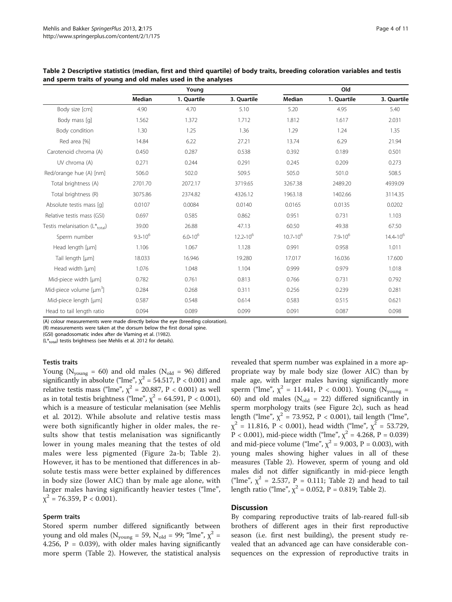|                                     |              | Young        |               |               | Old          |               |
|-------------------------------------|--------------|--------------|---------------|---------------|--------------|---------------|
|                                     | Median       | 1. Quartile  | 3. Quartile   | Median        | 1. Quartile  | 3. Quartile   |
| Body size [cm]                      | 4.90         | 4.70         | 5.10          | 5.20          | 4.95         | 5.40          |
| Body mass [q]                       | 1.562        | 1.372        | 1.712         | 1.812         | 1.617        | 2.031         |
| Body condition                      | 1.30         | 1.25         | 1.36          | 1.29          | 1.24         | 1.35          |
| Red area [%]                        | 14.84        | 6.22         | 27.21         | 13.74         | 6.29         | 21.94         |
| Carotenoid chroma (A)               | 0.450        | 0.287        | 0.538         | 0.392         | 0.189        | 0.501         |
| UV chroma (A)                       | 0.271        | 0.244        | 0.291         | 0.245         | 0.209        | 0.273         |
| Red/orange hue (A) [nm]             | 506.0        | 502.0        | 509.5         | 505.0         | 501.0        | 508.5         |
| Total brightness (A)                | 2701.70      | 2072.17      | 3719.65       | 3267.38       | 2489.20      | 4939.09       |
| Total brightness (R)                | 3075.86      | 2374.82      | 4326.12       | 1963.18       | 1402.66      | 3114.35       |
| Absolute testis mass [q]            | 0.0107       | 0.0084       | 0.0140        | 0.0165        | 0.0135       | 0.0202        |
| Relative testis mass (GSI)          | 0.697        | 0.585        | 0.862         | 0.951         | 0.731        | 1.103         |
| Testis melanisation $(L^*_{total})$ | 39.00        | 26.88        | 47.13         | 60.50         | 49.38        | 67.50         |
| Sperm number                        | $9.3*10^{6}$ | $6.0*10^{6}$ | $12.2*10^{6}$ | $10.7*10^{6}$ | $7.9*10^{6}$ | $14.4*10^{6}$ |
| Head length [µm]                    | 1.106        | 1.067        | 1.128         | 0.991         | 0.958        | 1.011         |
| Tail length [µm]                    | 18.033       | 16.946       | 19.280        | 17.017        | 16.036       | 17.600        |
| Head width [µm]                     | 1.076        | 1.048        | 1.104         | 0.999         | 0.979        | 1.018         |
| Mid-piece width [µm]                | 0.782        | 0.761        | 0.813         | 0.766         | 0.731        | 0.792         |
| Mid-piece volume [µm <sup>3</sup> ] | 0.284        | 0.268        | 0.311         | 0.256         | 0.239        | 0.281         |
| Mid-piece length [µm]               | 0.587        | 0.548        | 0.614         | 0.583         | 0.515        | 0.621         |
| Head to tail length ratio           | 0.094        | 0.089        | 0.099         | 0.091         | 0.087        | 0.098         |

<span id="page-3-0"></span>Table 2 Descriptive statistics (median, first and third quartile) of body traits, breeding coloration variables and testis and sperm traits of young and old males used in the analyses

(A) colour measurements were made directly below the eye (breeding coloration).

(R) measurements were taken at the dorsum below the first dorsal spine.

(GSI) gonadosomatic index after de Vlaming et al. ([1982\)](#page-8-0).

 $(L^*_{total})$  testis brightness (see Mehlis et al. [2012](#page-9-0) for details).

# Testis traits

Young ( $N_{\text{young}} = 60$ ) and old males ( $N_{\text{old}} = 96$ ) differed significantly in absolute ("lme",  $\chi^2$  = 54.517, P < 0.001) and relative testis mass ("lme",  $\chi^2 = 20.887$ , P < 0.001) as well as in total testis brightness ("lme",  $\chi^2$  = 64.591, P < 0.001), which is a measure of testicular melanisation (see Mehlis et al. [2012\)](#page-9-0). While absolute and relative testis mass were both significantly higher in older males, the results show that testis melanisation was significantly lower in young males meaning that the testes of old males were less pigmented (Figure [2](#page-5-0)a-b; Table 2). However, it has to be mentioned that differences in absolute testis mass were better explained by differences in body size (lower AIC) than by male age alone, with larger males having significantly heavier testes ("lme",  $\chi^2$  = 76.359, P < 0.001).

#### Sperm traits

Stored sperm number differed significantly between young and old males ( $N_{\text{young}} = 59$ ,  $N_{\text{old}} = 99$ ; "lme",  $\chi^2$  = 4.256,  $P = 0.039$ ), with older males having significantly more sperm (Table 2). However, the statistical analysis revealed that sperm number was explained in a more appropriate way by male body size (lower AIC) than by male age, with larger males having significantly more sperm ("lme",  $\chi^2$  = 11.441, P < 0.001). Young (N<sub>young</sub> = 60) and old males ( $N_{old}$  = 22) differed significantly in sperm morphology traits (see Figure [2](#page-5-0)c), such as head length ("lme",  $\chi^2$  = 73.952, P < 0.001), tail length ("lme",  $\chi^2$  = 11.816, P < 0.001), head width ("lme",  $\chi^2$  = 53.729, P < 0.001), mid-piece width ("lme",  $\chi^2$  = 4.268, P = 0.039) and mid-piece volume ("lme",  $\chi^2$  = 9.003, P = 0.003), with young males showing higher values in all of these measures (Table 2). However, sperm of young and old males did not differ significantly in mid-piece length ("lme",  $\chi^2$  = 2.537, P = 0.111; Table 2) and head to tail length ratio ("lme",  $\chi^2$  = 0.052, P = 0.819; Table 2).

#### **Discussion**

By comparing reproductive traits of lab-reared full-sib brothers of different ages in their first reproductive season (i.e. first nest building), the present study revealed that an advanced age can have considerable consequences on the expression of reproductive traits in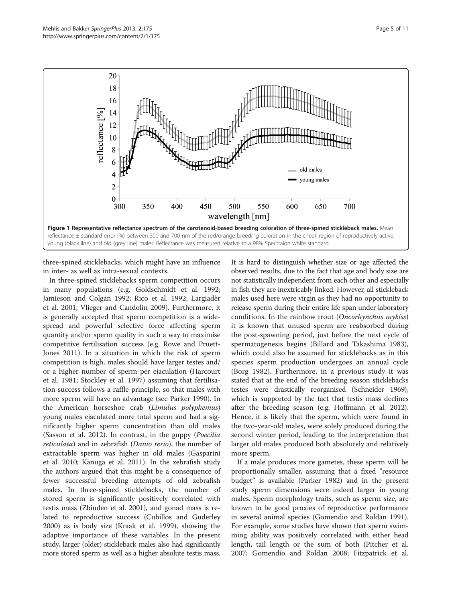<span id="page-4-0"></span>

three-spined sticklebacks, which might have an influence in inter- as well as intra-sexual contexts.

In three-spined sticklebacks sperm competition occurs in many populations (e.g. Goldschmidt et al. [1992](#page-9-0); Jamieson and Colgan [1992;](#page-9-0) Rico et al. [1992](#page-9-0); Largiadèr et al. [2001](#page-9-0); Vlieger and Candolin [2009](#page-10-0)). Furthermore, it is generally accepted that sperm competition is a widespread and powerful selective force affecting sperm quantity and/or sperm quality in such a way to maximise competitive fertilisation success (e.g. Rowe and Pruett-Jones [2011\)](#page-9-0). In a situation in which the risk of sperm competition is high, males should have larger testes and/ or a higher number of sperm per ejaculation (Harcourt et al. [1981;](#page-9-0) Stockley et al. [1997](#page-9-0)) assuming that fertilisation success follows a raffle-principle, so that males with more sperm will have an advantage (see Parker [1990](#page-9-0)). In the American horseshoe crab (Limulus polyphemus) young males ejaculated more total sperm and had a significantly higher sperm concentration than old males (Sasson et al. [2012\)](#page-9-0). In contrast, in the guppy (Poecilia reticulata) and in zebrafish (Danio rerio), the number of extractable sperm was higher in old males (Gasparini et al. [2010;](#page-9-0) Kanuga et al. [2011](#page-9-0)). In the zebrafish study the authors argued that this might be a consequence of fewer successful breeding attempts of old zebrafish males. In three-spined sticklebacks, the number of stored sperm is significantly positively correlated with testis mass (Zbinden et al. [2001](#page-10-0)), and gonad mass is related to reproductive success (Cubillos and Guderley [2000](#page-8-0)) as is body size (Kraak et al. [1999](#page-9-0)), showing the adaptive importance of these variables. In the present study, larger (older) stickleback males also had significantly more stored sperm as well as a higher absolute testis mass.

It is hard to distinguish whether size or age affected the observed results, due to the fact that age and body size are not statistically independent from each other and especially in fish they are inextricably linked. However, all stickleback males used here were virgin as they had no opportunity to release sperm during their entire life span under laboratory conditions. In the rainbow trout (Oncorhynchus mykiss) it is known that unused sperm are reabsorbed during the post-spawning period, just before the next cycle of spermatogenesis begins (Billard and Takashima [1983](#page-8-0)), which could also be assumed for sticklebacks as in this species sperm production undergoes an annual cycle (Borg [1982](#page-8-0)). Furthermore, in a previous study it was stated that at the end of the breeding season sticklebacks testes were drastically reorganised (Schneider [1969](#page-9-0)), which is supported by the fact that testis mass declines after the breeding season (e.g. Hoffmann et al. [2012](#page-9-0)). Hence, it is likely that the sperm, which were found in the two-year-old males, were solely produced during the second winter period, leading to the interpretation that larger old males produced both absolutely and relatively more sperm.

If a male produces more gametes, these sperm will be proportionally smaller, assuming that a fixed "resource budget" is available (Parker [1982](#page-9-0)) and in the present study sperm dimensions were indeed larger in young males. Sperm morphology traits, such as sperm size, are known to be good proxies of reproductive performance in several animal species (Gomendio and Roldan [1991](#page-9-0)). For example, some studies have shown that sperm swimming ability was positively correlated with either head length, tail length or the sum of both (Pitcher et al. [2007](#page-9-0); Gomendio and Roldan [2008;](#page-9-0) Fitzpatrick et al.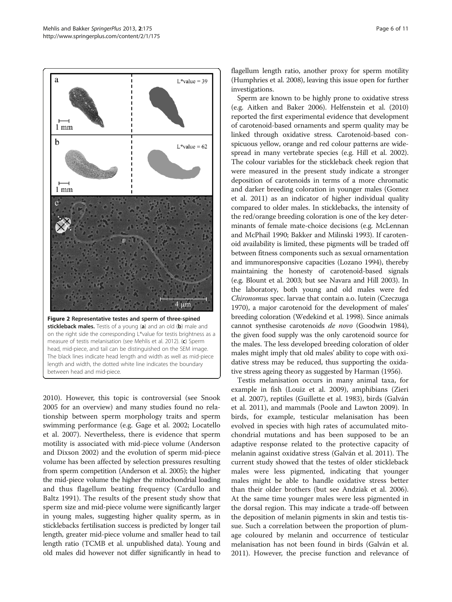<span id="page-5-0"></span>

[2010](#page-8-0)). However, this topic is controversial (see Snook [2005](#page-9-0) for an overview) and many studies found no relationship between sperm morphology traits and sperm swimming performance (e.g. Gage et al. [2002](#page-9-0); Locatello et al. [2007](#page-9-0)). Nevertheless, there is evidence that sperm motility is associated with mid-piece volume (Anderson and Dixson [2002](#page-8-0)) and the evolution of sperm mid-piece volume has been affected by selection pressures resulting from sperm competition (Anderson et al. [2005](#page-8-0)); the higher the mid-piece volume the higher the mitochondrial loading and thus flagellum beating frequency (Cardullo and Baltz [1991](#page-8-0)). The results of the present study show that sperm size and mid-piece volume were significantly larger in young males, suggesting higher quality sperm, as in sticklebacks fertilisation success is predicted by longer tail length, greater mid-piece volume and smaller head to tail length ratio (TCMB et al. unpublished data). Young and old males did however not differ significantly in head to

flagellum length ratio, another proxy for sperm motility (Humphries et al. [2008\)](#page-9-0), leaving this issue open for further investigations.

Sperm are known to be highly prone to oxidative stress (e.g. Aitken and Baker [2006](#page-8-0)). Helfenstein et al. [\(2010](#page-9-0)) reported the first experimental evidence that development of carotenoid-based ornaments and sperm quality may be linked through oxidative stress. Carotenoid-based conspicuous yellow, orange and red colour patterns are widespread in many vertebrate species (e.g. Hill et al. [2002](#page-9-0)). The colour variables for the stickleback cheek region that were measured in the present study indicate a stronger deposition of carotenoids in terms of a more chromatic and darker breeding coloration in younger males (Gomez et al. [2011\)](#page-9-0) as an indicator of higher individual quality compared to older males. In sticklebacks, the intensity of the red/orange breeding coloration is one of the key determinants of female mate-choice decisions (e.g. McLennan and McPhail [1990](#page-9-0); Bakker and Milinski [1993\)](#page-8-0). If carotenoid availability is limited, these pigments will be traded off between fitness components such as sexual ornamentation and immunoresponsive capacities (Lozano [1994\)](#page-9-0), thereby maintaining the honesty of carotenoid-based signals (e.g. Blount et al. [2003;](#page-8-0) but see Navara and Hill [2003\)](#page-9-0). In the laboratory, both young and old males were fed Chironomus spec. larvae that contain a.o. lutein (Czeczuga [1970\)](#page-8-0), a major carotenoid for the development of males' breeding coloration (Wedekind et al. [1998](#page-10-0)). Since animals cannot synthesise carotenoids de novo (Goodwin [1984](#page-9-0)), the given food supply was the only carotenoid source for the males. The less developed breeding coloration of older males might imply that old males' ability to cope with oxidative stress may be reduced, thus supporting the oxidative stress ageing theory as suggested by Harman ([1956\)](#page-9-0).

Testis melanisation occurs in many animal taxa, for example in fish (Louiz et al. [2009\)](#page-9-0), amphibians (Zieri et al. [2007\)](#page-10-0), reptiles (Guillette et al. [1983](#page-9-0)), birds (Galván et al. [2011](#page-9-0)), and mammals (Poole and Lawton [2009\)](#page-9-0). In birds, for example, testicular melanisation has been evolved in species with high rates of accumulated mitochondrial mutations and has been supposed to be an adaptive response related to the protective capacity of melanin against oxidative stress (Galván et al. [2011](#page-9-0)). The current study showed that the testes of older stickleback males were less pigmented, indicating that younger males might be able to handle oxidative stress better than their older brothers (but see Andziak et al. [2006](#page-8-0)). At the same time younger males were less pigmented in the dorsal region. This may indicate a trade-off between the deposition of melanin pigments in skin and testis tissue. Such a correlation between the proportion of plumage coloured by melanin and occurrence of testicular melanisation has not been found in birds (Galván et al. [2011](#page-9-0)). However, the precise function and relevance of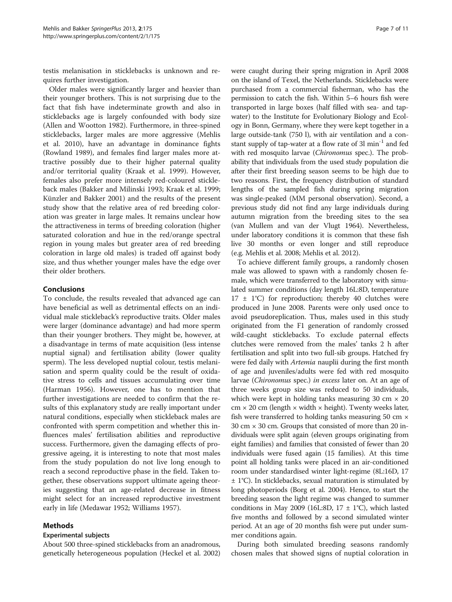testis melanisation in sticklebacks is unknown and requires further investigation.

Older males were significantly larger and heavier than their younger brothers. This is not surprising due to the fact that fish have indeterminate growth and also in sticklebacks age is largely confounded with body size (Allen and Wootton [1982\)](#page-8-0). Furthermore, in three-spined sticklebacks, larger males are more aggressive (Mehlis et al. [2010\)](#page-9-0), have an advantage in dominance fights (Rowland [1989\)](#page-9-0), and females find larger males more attractive possibly due to their higher paternal quality and/or territorial quality (Kraak et al. [1999](#page-9-0)). However, females also prefer more intensely red-coloured stickleback males (Bakker and Milinski [1993;](#page-8-0) Kraak et al. [1999](#page-9-0); Künzler and Bakker [2001\)](#page-9-0) and the results of the present study show that the relative area of red breeding coloration was greater in large males. It remains unclear how the attractiveness in terms of breeding coloration (higher saturated coloration and hue in the red/orange spectral region in young males but greater area of red breeding coloration in large old males) is traded off against body size, and thus whether younger males have the edge over their older brothers.

# Conclusions

To conclude, the results revealed that advanced age can have beneficial as well as detrimental effects on an individual male stickleback's reproductive traits. Older males were larger (dominance advantage) and had more sperm than their younger brothers. They might be, however, at a disadvantage in terms of mate acquisition (less intense nuptial signal) and fertilisation ability (lower quality sperm). The less developed nuptial colour, testis melanisation and sperm quality could be the result of oxidative stress to cells and tissues accumulating over time (Harman [1956\)](#page-9-0). However, one has to mention that further investigations are needed to confirm that the results of this explanatory study are really important under natural conditions, especially when stickleback males are confronted with sperm competition and whether this influences males' fertilisation abilities and reproductive success. Furthermore, given the damaging effects of progressive ageing, it is interesting to note that most males from the study population do not live long enough to reach a second reproductive phase in the field. Taken together, these observations support ultimate ageing theories suggesting that an age-related decrease in fitness might select for an increased reproductive investment early in life (Medawar [1952](#page-9-0); Williams [1957](#page-10-0)).

# Methods

# Experimental subjects

About 500 three-spined sticklebacks from an anadromous, genetically heterogeneous population (Heckel et al. [2002](#page-9-0))

were caught during their spring migration in April 2008 on the island of Texel, the Netherlands. Sticklebacks were purchased from a commercial fisherman, who has the permission to catch the fish. Within 5–6 hours fish were transported in large boxes (half filled with sea- and tapwater) to the Institute for Evolutionary Biology and Ecology in Bonn, Germany, where they were kept together in a large outside-tank (750 l), with air ventilation and a constant supply of tap-water at a flow rate of  $3l$  min<sup>-1</sup> and fed with red mosquito larvae (Chironomus spec.). The probability that individuals from the used study population die after their first breeding season seems to be high due to two reasons. First, the frequency distribution of standard lengths of the sampled fish during spring migration was single-peaked (MM personal observation). Second, a previous study did not find any large individuals during autumn migration from the breeding sites to the sea (van Mullem and van der Vlugt [1964](#page-10-0)). Nevertheless, under laboratory conditions it is common that these fish live 30 months or even longer and still reproduce (e.g. Mehlis et al. [2008](#page-9-0); Mehlis et al. [2012](#page-9-0)).

To achieve different family groups, a randomly chosen male was allowed to spawn with a randomly chosen female, which were transferred to the laboratory with simulated summer conditions (day length 16L:8D, temperature  $17 \pm 1^{\circ}$ C) for reproduction; thereby 40 clutches were produced in June 2008. Parents were only used once to avoid pseudoreplication. Thus, males used in this study originated from the F1 generation of randomly crossed wild-caught sticklebacks. To exclude paternal effects clutches were removed from the males' tanks 2 h after fertilisation and split into two full-sib groups. Hatched fry were fed daily with *Artemia* nauplii during the first month of age and juveniles/adults were fed with red mosquito larvae (Chironomus spec.) in excess later on. At an age of three weeks group size was reduced to 50 individuals, which were kept in holding tanks measuring 30 cm  $\times$  20  $cm \times 20$  cm (length  $\times$  width  $\times$  height). Twenty weeks later, fish were transferred to holding tanks measuring 50 cm  $\times$ 30 cm  $\times$  30 cm. Groups that consisted of more than 20 individuals were split again (eleven groups originating from eight families) and families that consisted of fewer than 20 individuals were fused again (15 families). At this time point all holding tanks were placed in an air-conditioned room under standardised winter light-regime (8L:16D, 17 ± 1°C). In sticklebacks, sexual maturation is stimulated by long photoperiods (Borg et al. [2004\)](#page-8-0). Hence, to start the breeding season the light regime was changed to summer conditions in May 2009 (16L:8D, 17  $\pm$  1°C), which lasted five months and followed by a second simulated winter period. At an age of 20 months fish were put under summer conditions again.

During both simulated breeding seasons randomly chosen males that showed signs of nuptial coloration in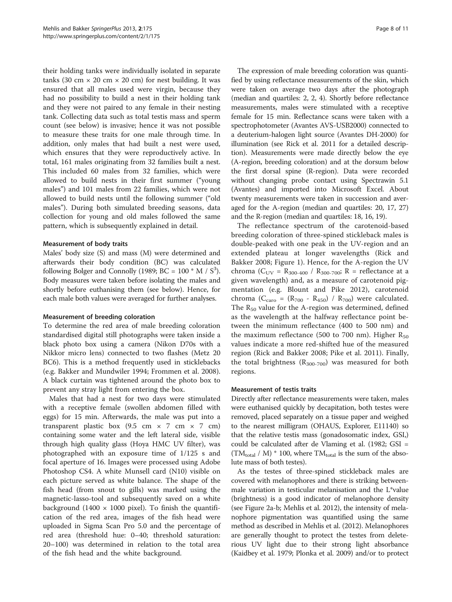<span id="page-7-0"></span>their holding tanks were individually isolated in separate tanks (30 cm  $\times$  20 cm  $\times$  20 cm) for nest building. It was ensured that all males used were virgin, because they had no possibility to build a nest in their holding tank and they were not paired to any female in their nesting tank. Collecting data such as total testis mass and sperm count (see below) is invasive; hence it was not possible to measure these traits for one male through time. In addition, only males that had built a nest were used, which ensures that they were reproductively active. In total, 161 males originating from 32 families built a nest. This included 60 males from 32 families, which were allowed to build nests in their first summer ("young males") and 101 males from 22 families, which were not allowed to build nests until the following summer ("old males"). During both simulated breeding seasons, data collection for young and old males followed the same pattern, which is subsequently explained in detail.

#### Measurement of body traits

Males' body size (S) and mass (M) were determined and afterwards their body condition (BC) was calculated following Bolger and Connolly ([1989](#page-8-0); BC =  $100 * M / S<sup>3</sup>$ ). Body measures were taken before isolating the males and shortly before euthanising them (see below). Hence, for each male both values were averaged for further analyses.

#### Measurement of breeding coloration

To determine the red area of male breeding coloration standardised digital still photographs were taken inside a black photo box using a camera (Nikon D70s with a Nikkor micro lens) connected to two flashes (Metz 20 BC6). This is a method frequently used in sticklebacks (e.g. Bakker and Mundwiler [1994;](#page-8-0) Frommen et al. [2008](#page-9-0)). A black curtain was tightened around the photo box to prevent any stray light from entering the box.

Males that had a nest for two days were stimulated with a receptive female (swollen abdomen filled with eggs) for 15 min. Afterwards, the male was put into a transparent plastic box (9.5 cm × 7 cm × 7 cm) containing some water and the left lateral side, visible through high quality glass (Hoya HMC UV filter), was photographed with an exposure time of 1/125 s and focal aperture of 16. Images were processed using Adobe Photoshop CS4. A white Munsell card (N10) visible on each picture served as white balance. The shape of the fish head (from snout to gills) was marked using the magnetic-lasso-tool and subsequently saved on a white background (1400  $\times$  1000 pixel). To finish the quantification of the red area, images of the fish head were uploaded in Sigma Scan Pro 5.0 and the percentage of red area (threshold hue: 0–40; threshold saturation: 20–100) was determined in relation to the total area of the fish head and the white background.

The expression of male breeding coloration was quantified by using reflectance measurements of the skin, which were taken on average two days after the photograph (median and quartiles: 2, 2, 4). Shortly before reflectance measurements, males were stimulated with a receptive female for 15 min. Reflectance scans were taken with a spectrophotometer (Avantes AVS-USB2000) connected to a deuterium-halogen light source (Avantes DH-2000) for illumination (see Rick et al. [2011](#page-9-0) for a detailed description). Measurements were made directly below the eye (A-region, breeding coloration) and at the dorsum below the first dorsal spine (R-region). Data were recorded without changing probe contact using Spectrawin 5.1 (Avantes) and imported into Microsoft Excel. About twenty measurements were taken in succession and averaged for the A-region (median and quartiles: 20, 17, 27) and the R-region (median and quartiles: 18, 16, 19).

The reflectance spectrum of the carotenoid-based breeding coloration of three-spined stickleback males is double-peaked with one peak in the UV-region and an extended plateau at longer wavelengths (Rick and Bakker [2008;](#page-9-0) Figure [1](#page-4-0)). Hence, for the A-region the UV chroma ( $C_{UV} = R_{300-400} / R_{300-700}$ ; R = reflectance at a given wavelength) and, as a measure of carotenoid pigmentation (e.g. Blount and Pike [2012\)](#page-8-0), carotenoid chroma ( $C_{\text{caro}} = (R_{700} - R_{450}) / R_{700}$ ) were calculated. The  $R_{50}$  value for the A-region was determined, defined as the wavelength at the halfway reflectance point between the minimum reflectance (400 to 500 nm) and the maximum reflectance (500 to 700 nm). Higher  $R_{50}$ values indicate a more red-shifted hue of the measured region (Rick and Bakker [2008;](#page-9-0) Pike et al. [2011](#page-9-0)). Finally, the total brightness  $(R_{300-700})$  was measured for both regions.

# Measurement of testis traits

Directly after reflectance measurements were taken, males were euthanised quickly by decapitation, both testes were removed, placed separately on a tissue paper and weighed to the nearest milligram (OHAUS, Explorer, E11140) so that the relative testis mass (gonadosomatic index, GSI,) could be calculated after de Vlaming et al. [\(1982;](#page-8-0) GSI =  $(TM_{total} / M) * 100$ , where TM<sub>total</sub> is the sum of the absolute mass of both testes).

As the testes of three-spined stickleback males are covered with melanophores and there is striking betweenmale variation in testicular melanisation and the L\*value (brightness) is a good indicator of melanophore density (see Figure [2a](#page-5-0)-b; Mehlis et al. [2012\)](#page-9-0), the intensity of melanophore pigmentation was quantified using the same method as described in Mehlis et al. [\(2012](#page-9-0)). Melanophores are generally thought to protect the testes from deleterious UV light due to their strong light absorbance (Kaidbey et al. [1979;](#page-9-0) Plonka et al. [2009](#page-9-0)) and/or to protect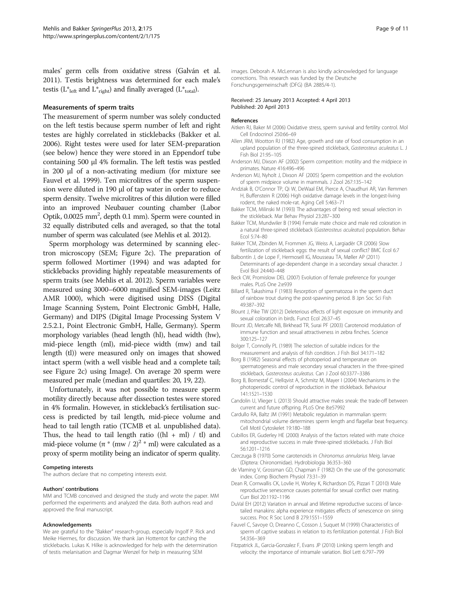<span id="page-8-0"></span>males' germ cells from oxidative stress (Galván et al. [2011\)](#page-9-0). Testis brightness was determined for each male's testis ( $L^*_{left}$  and  $L^*_{right}$ ) and finally averaged ( $L^*_{total}$ ).

#### Measurements of sperm traits

The measurement of sperm number was solely conducted on the left testis because sperm number of left and right testes are highly correlated in sticklebacks (Bakker et al. 2006). Right testes were used for later SEM-preparation (see below) hence they were stored in an Eppendorf tube containing 500 μl 4% formalin. The left testis was pestled in 200 μl of a non-activating medium (for mixture see Fauvel et al. 1999). Ten microlitres of the sperm suspension were diluted in 190 μl of tap water in order to reduce sperm density. Twelve microlitres of this dilution were filled into an improved Neubauer counting chamber (Labor Optik,  $0.0025$  mm<sup>2</sup>, depth 0.1 mm). Sperm were counted in 32 equally distributed cells and averaged, so that the total number of sperm was calculated (see Mehlis et al. [2012\)](#page-9-0).

Sperm morphology was determined by scanning electron microscopy (SEM; Figure [2](#page-5-0)c). The preparation of sperm followed Mortimer [\(1994](#page-9-0)) and was adapted for sticklebacks providing highly repeatable measurements of sperm traits (see Mehlis et al. [2012](#page-9-0)). Sperm variables were measured using 3000–6000 magnified SEM-images (Leitz AMR 1000), which were digitised using DISS (Digital Image Scanning System, Point Electronic GmbH, Halle, Germany) and DIPS (Digital Image Processing System V 2.5.2.1, Point Electronic GmbH, Halle, Germany). Sperm morphology variables (head length (hl), head width (hw), mid-piece length (ml), mid-piece width (mw) and tail length (tl)) were measured only on images that showed intact sperm (with a well visible head and a complete tail; see Figure [2](#page-5-0)c) using ImageJ. On average 20 sperm were measured per male (median and quartiles: 20, 19, 22).

Unfortunately, it was not possible to measure sperm motility directly because after dissection testes were stored in 4% formalin. However, in stickleback's fertilisation success is predicted by tail length, mid-piece volume and head to tail length ratio (TCMB et al. unpublished data). Thus, the head to tail length ratio ((hl + ml) / tl) and mid-piece volume (π \* (mw / 2)<sup>2</sup> \* ml) were calculated as a proxy of sperm motility being an indicator of sperm quality.

#### Competing interests

The authors declare that no competing interests exist.

#### Authors' contributions

MM and TCMB conceived and designed the study and wrote the paper. MM performed the experiments and analyzed the data. Both authors read and approved the final manuscript.

#### Acknowledgements

We are grateful to the "Bakker" research-group, especially Ingolf P. Rick and Meike Hiermes, for discussion. We thank Jan Hottentot for catching the sticklebacks. Lukas K. Hilke is acknowledged for help with the determination of testis melanisation and Dagmar Wenzel for help in measuring SEM

images. Deborah A. McLennan is also kindly acknowledged for language corrections. This research was funded by the Deutsche Forschungsgemeinschaft (DFG) (BA 2885/4-1).

#### Received: 25 January 2013 Accepted: 4 April 2013 Published: 20 April 2013

#### References

- Aitken RJ, Baker M (2006) Oxidative stress, sperm survival and fertility control. Mol Cell Endocrinol 250:66–69
- Allen JRM, Wootton RJ (1982) Age, growth and rate of food consumption in an upland population of the three-spined stickleback, Gasterosteus aculeatus L. J Fish Biol 21:95–105
- Anderson MJ, Dixson AF (2002) Sperm competition: motility and the midpiece in primates. Nature 416:496–496
- Anderson MJ, Nyholt J, Dixson AF (2005) Sperm competition and the evolution of sperm midpiece volume in mammals. J Zool 267:135–142
- Andziak B, O'Connor TP, Qi W, DeWaal EM, Pierce A, Chaudhuri AR, Van Remmen H, Buffenstein R (2006) High oxidative damage levels in the longest-living rodent, the naked mole-rat. Aging Cell 5:463–71
- Bakker TCM, Milinski M (1993) The advantages of being red: sexual selection in the stickleback. Mar Behav Physiol 23:287–300
- Bakker TCM, Mundwiler B (1994) Female mate choice and male red coloration in a natural three-spined stickleback (Gasterosteus aculeatus) population. Behav Ecol 5:74–80
- Bakker TCM, Zbinden M, Frommen JG, Weiss A, Largiadèr CR (2006) Slow fertilization of stickleback eggs: the result of sexual conflict? BMC Ecol 6:7
- Balbontín J, de Lope F, Hermosell IG, Mousseau TA, Møller AP (2011) Determinants of age-dependent change in a secondary sexual character. J Evol Biol 24:440–448
- Beck CW, Promislow DEL (2007) Evolution of female preference for younger males. PLoS One 2:e939
- Billard R, Takashima F (1983) Resorption of spermatozoa in the sperm duct of rainbow trout during the post-spawning period. B Jpn Soc Sci Fish 49:387–392
- Blount J, Pike TW (2012) Deleterious effects of light exposure on immunity and sexual coloration in birds. Funct Ecol 26:37–45
- Blount JD, Metcalfe NB, Birkhead TR, Surai PF (2003) Carotenoid modulation of immune function and sexual attractiveness in zebra finches. Science 300:125–127
- Bolger T, Connolly PL (1989) The selection of suitable indices for the measurement and analysis of fish condition. J Fish Biol 34:171–182
- Borg B (1982) Seasonal effects of photoperiod and temperature on spermatogenesis and male secondary sexual characters in the three-spined stickleback, Gasterosteus aculeatus. Can J Zool 60:3377–<sup>3386</sup>
- Borg B, Bornestaf C, Hellqvist A, Schmitz M, Mayer I (2004) Mechanisms in the photoperiodic control of reproduction in the stickleback. Behaviour 141:1521–1530
- Candolin U, Vlieger L (2013) Should attractive males sneak: the trade-off between current and future offspring. PLoS One 8:e57992
- Cardullo RA, Baltz JM (1991) Metabolic regulation in mammalian sperm: mitochondrial volume determines sperm length and flagellar beat frequency. Cell Motil Cytoskelet 19:180–188
- Cubillos ER, Guderley HE (2000) Analysis of the factors related with mate choice and reproductive success in male three-spined sticklebacks. J Fish Biol 56:1201–1216
- Czeczuga B (1970) Some carotenoids in Chironomus annularius Meig. larvae (Diptera: Chironomidae). Hydrobiologia 36:353–360
- de Vlaming V, Grossman GD, Chapman F (1982) On the use of the gonosomatic index. Comp Biochem Physiol 73:31–39
- Dean R, Cornwallis CK, Lovlie H, Worley K, Richardson DS, Pizzari T (2010) Male reproductive senescence causes potential for sexual conflict over mating. Curr Biol 20:1192–1196
- DuVal EH (2012) Variation in annual and lifetime reproductive success of lancetailed manakins: alpha experience mitigates effects of senescence on siring success. Proc R Soc Lond B 279:1551–1559
- Fauvel C, Savoye O, Dreanno C, Cosson J, Suquet M (1999) Characteristics of sperm of captive seabass in relation to its fertilization potential. J Fish Biol 54:356–369
- Fitzpatrick JL, Garcia-Gonzalez F, Evans JP (2010) Linking sperm length and velocity: the importance of intramale variation. Biol Lett 6:797–799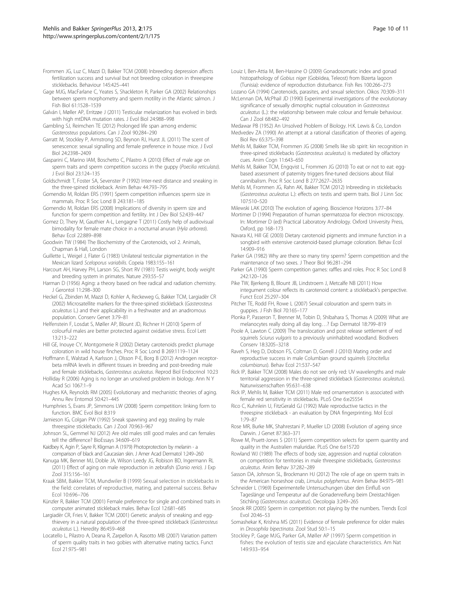- <span id="page-9-0"></span>Frommen JG, Luz C, Mazzi D, Bakker TCM (2008) Inbreeding depression affects fertilization success and survival but not breeding coloration in threespine sticklebacks. Behaviour 145:425–441
- Gage MJG, MacFarlane C, Yeates S, Shackleton R, Parker GA (2002) Relationships between sperm morphometry and sperm motility in the Atlantic salmon. J Fish Biol 61:1528–1539
- Galván I, Møller AP, Erritzøe J (2011) Testicular melanization has evolved in birds with high mtDNA mutation rates. J Evol Biol 24:988–998
- Gambling SJ, Reimchen TE (2012) Prolonged life span among endemic Gasterosteus populations. Can J Zool 90:284–<sup>290</sup>
- Garratt M, Stockley P, Armstrong SD, Beynon RJ, Hurst JL (2011) The scent of senescence: sexual signalling and female preference in house mice. J Evol Biol 24:2398–2409
- Gasparini C, Marino IAM, Boschetto C, Pilastro A (2010) Effect of male age on sperm traits and sperm competition success in the guppy (Poecilia reticulata). J Evol Biol 23:124–135
- Goldschmidt T, Foster SA, Sevenster P (1992) Inter-nest distance and sneaking in the three-spined stickleback. Anim Behav 44:793–795
- Gomendio M, Roldan ERS (1991) Sperm competition influences sperm size in mammals. Proc R Soc Lond B 243:181–185
- Gomendio M, Roldan ERS (2008) Implications of diversity in sperm size and function for sperm competition and fertility. Int J Dev Biol 52:439–447
- Gomez D, Thery M, Gauthier A-L, Lengagne T (2011) Costly help of audiovisual bimodality for female mate choice in a nocturnal anuran (Hyla arborea). Behav Ecol 22:889–898
- Goodwin TW (1984) The Biochemistry of the Carotenoids, vol 2. Animals, Chapman & Hall, London
- Guillette L, Weigel J, Flater G (1983) Unilateral testicular pigmentation in the Mexican lizard Sceloporus variabilis. Copeia 1983:155–<sup>161</sup>
- Harcourt AH, Harvey PH, Larson SG, Short RV (1981) Testis weight, body weight and breeding system in primates. Nature 293:55–57
- Harman D (1956) Aging: a theory based on free radical and radiation chemistry. J Gerontol 11:298–300
- Heckel G, Zbinden M, Mazzi D, Kohler A, Reckeweg G, Bakker TCM, Largiadèr CR (2002) Microsatellite markers for the three-spined stickleback (Gasterosteus aculeatus L.) and their applicability in a freshwater and an anadromous population. Conserv Genet 3:79–81
- Helfenstein F, Losdat S, Møller AP, Blount JD, Richner H (2010) Sperm of colourful males are better protected against oxidative stress. Ecol Lett 13:213–222
- Hill GE, Inouye CY, Montgomerie R (2002) Dietary carotenoids predict plumage coloration in wild house finches. Proc R Soc Lond B 269:1119–1124
- Hoffmann E, Walstad A, Karlsson J, Olsson P-E, Borg B (2012) Androgen receptorbeta mRNA levels in different tissues in breeding and post-breeding male
- and female sticklebacks, Gasterosteus aculeatus. Reprod Biol Endocrinol 10:23 Holliday R (2006) Aging is no longer an unsolved problem in biology. Ann N Y Acad Sci 1067:1–9
- Hughes KA, Reynolds RM (2005) Evolutionary and mechanistic theories of aging. Annu Rev Entomol 50:421–445
- Humphries S, Evans JP, Simmons LW (2008) Sperm competition: linking form to function. BMC Evol Biol 8:319
- Jamieson IG, Colgan PW (1992) Sneak spawning and egg stealing by male threespine sticklebacks. Can J Zool 70:963–967
- Johnson SL, Gemmel NJ (2012) Are old males still good males and can females tell the difference? BioEssays 34:609–619
- Kaidbey K, Agin P, Sayre R, Kligman A (1979) Photoprotection by melanin a comparison of black and Caucasian skin. J Amer Acad Dermatol 1:249–260
- Kanuga MK, Benner MJ, Doble JA, Wilson Leedy JG, Robison BD, Ingermann RL (2011) Effect of aging on male reproduction in zebrafish (Danio rerio). J Exp Zool 315:156–161
- Kraak SBM, Bakker TCM, Mundwiler B (1999) Sexual selection in sticklebacks in the field: correlates of reproductive, mating, and paternal success. Behav Ecol 10:696–706
- Künzler R, Bakker TCM (2001) Female preference for single and combined traits in computer animated stickleback males. Behav Ecol 12:681–685
- Largiadèr CR, Fries V, Bakker TCM (2001) Genetic analysis of sneaking and eggthievery in a natural population of the three-spined stickleback (Gasterosteus aculeatus L.). Heredity 86:459–<sup>468</sup>
- Locatello L, Pilastro A, Deana R, Zarpellon A, Rasotto MB (2007) Variation pattern of sperm quality traits in two gobies with alternative mating tactics. Funct Ecol 21:975–981
- Louiz I, Ben-Attia M, Ben-Hassine O (2009) Gonadosomatic index and gonad histopathology of Gobius niger (Gobiidea, Teleost) from Bizerta lagoon (Tunisia): evidence of reproduction disturbance. Fish Res 100:266–273
- Lozano GA (1994) Carotenoids, parasites, and sexual selection. Oikos 70:309–311 McLennan DA, McPhail JD (1990) Experimental investigations of the evolutionary
- significance of sexually dimorphic nuptial colouration in Gasterosteus aculeatus (L.): the relationship between male colour and female behaviour. Can J Zool 68:482–492
- Medawar PB (1952) An Unsolved Problem of Biology. H.K. Lewis & Co, London
- Medvedev ZA (1990) An attempt at a rational classification of theories of ageing. Biol Rev 65:375–398
- Mehlis M, Bakker TCM, Frommen JG (2008) Smells like sib spirit: kin recognition in three-spined sticklebacks (Gasterosteus aculeatus) is mediated by olfactory cues. Anim Cogn 11:643–650
- Mehlis M, Bakker TCM, Engqvist L, Frommen JG (2010) To eat or not to eat: eggbased assessment of paternity triggers fine-tuned decisions about filial cannibalism. Proc R Soc Lond B 277:2627–2635
- Mehlis M, Frommen JG, Rahn AK, Bakker TCM (2012) Inbreeding in sticklebacks (Gasterosteus aculeatus L.): effects on testis and sperm traits. Biol J Linn Soc 107:510–520
- Milewski LAK (2010) The evolution of ageing. Bioscience Horizons 3:77–84
- Mortimer D (1994) Preparation of human spermatozoa for electron microscopy. In: Mortimer D (ed) Practical Laboratory Andrology. Oxford University Press, Oxford, pp 168–173
- Navara KJ, Hill GE (2003) Dietary carotenoid pigments and immune function in a songbird with extensive carotenoid-based plumage coloration. Behav Ecol 14:909–916
- Parker GA (1982) Why are there so many tiny sperm? Sperm competition and the maintenance of two sexes. J Theor Biol 96:281–294
- Parker GA (1990) Sperm competition games: raffles and roles. Proc R Soc Lond B 242:120–126
- Pike TW, Bjerkeng B, Blount JB, Lindstroem J, Metcalfe NB (2011) How integument colour reflects its carotenoid content: a stickleback's perspective. Funct Ecol 25:297–304
- Pitcher TE, Rodd FH, Rowe L (2007) Sexual colouration and sperm traits in guppies. J Fish Biol 70:165–177
- Plonka P, Passeron T, Brenner M, Tobin D, Shibahara S, Thomas A (2009) What are melanocytes really doing all day long…? Exp Dermatol 18:799–819
- Poole A, Lawton C (2009) The translocation and post release settlement of red squirrels Sciurus vulgaris to a previously uninhabited woodland. Biodivers Conserv 18:3205–3218
- Raveh S, Heg D, Dobson FS, Coltman D, Gorrell J (2010) Mating order and reproductive success in male Columbian ground squirrels (Urocitellus columbianus). Behav Ecol 21:537-547
- columbianus). Behav Ecol 21:537–<sup>547</sup> Rick IP, Bakker TCM (2008) Males do not see only red: UV wavelengths and male territorial aggression in the three-spined stickleback (Gasterosteus aculeatus). Naturwissenschaften 95:631–638
- Rick IP, Mehlis M, Bakker TCM (2011) Male red ornamentation is associated with female red sensitivity in sticklebacks. PLoS One 6:e25554
- Rico C, Kuhnlein U, FitzGerald GJ (1992) Male reproductive tactics in the threespine stickleback - an evaluation by DNA fingerprinting. Mol Ecol 1:79–87
- Rose MR, Burke MK, Shahrestani P, Mueller LD (2008) Evolution of ageing since Darwin. J Genet 87:363–371
- Rowe M, Pruett-Jones S (2011) Sperm competition selects for sperm quantity and quality in the Australien maluridae. PLoS One 6:e15720
- Rowland WJ (1989) The effects of body size, aggression and nuptial coloration on competition for territories in male threespine sticklebacks, Gasterosteus aculeatus. Anim Behav 37:282–<sup>289</sup>
- Sasson DA, Johnson SL, Brockmann HJ (2012) The role of age on sperm traits in the American horseshoe crab, Limulus polyphemus. Anim Behav 84:975–<sup>981</sup>
- Schneider L (1969) Experimentelle Untersuchungen über den Einfluß von Tageslänge und Temperatur auf die Gonadenreifung beim Dreistachligen Stichling (Gasterosteus aculeatus). Oecologia 3:249–<sup>265</sup>
- Snook RR (2005) Sperm in competition: not playing by the numbers. Trends Ecol Evol 20:46–53
- Somashekar K, Krishna MS (2011) Evidence of female preference for older males in Drosophila bipectinata. Zool Stud 50:1–<sup>15</sup>
- Stockley P, Gage MJG, Parker GA, Møller AP (1997) Sperm competition in fishes: the evolution of testis size and ejaculate characteristics. Am Nat 149:933–954